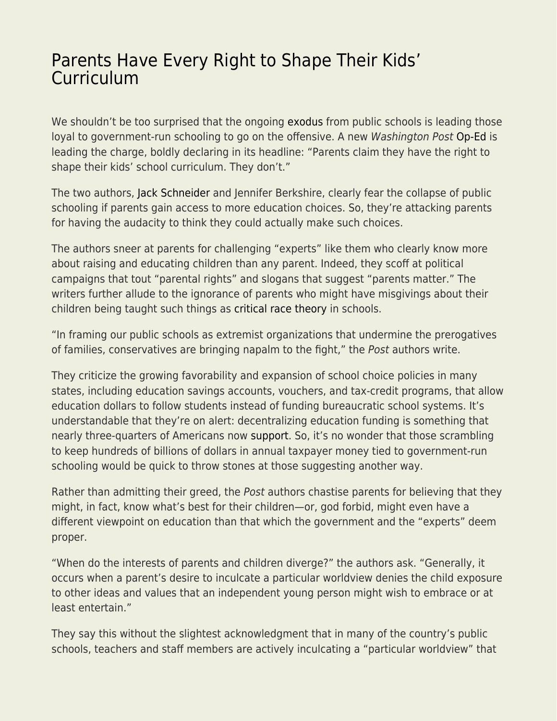## [Parents Have Every Right to Shape Their Kids'](https://everything-voluntary.com/parents-have-every-right-to-shape-their-kids-curriculum) [Curriculum](https://everything-voluntary.com/parents-have-every-right-to-shape-their-kids-curriculum)

We shouldn't be too surprised that the ongoing [exodus](https://fee.org/articles/cities-lead-the-way-in-another-massive-fall-exodus-from-us-public-schools/) from public schools is leading those loyal to government-run schooling to go on the offensive. A new Washington Post [Op-Ed](https://www.washingtonpost.com/outlook/parents-rights-protests-kids/2021/10/21/5cf4920a-31d4-11ec-9241-aad8e48f01ff_story.html?utm_source=twitter&utm_campaign=wp_opinions&utm_medium=social) is leading the charge, boldly declaring in its headline: "Parents claim they have the right to shape their kids' school curriculum. They don't."

The two authors, [Jack Schneider](https://sites.uml.edu/jack-schneider/) and Jennifer Berkshire, clearly fear the collapse of public schooling if parents gain access to more education choices. So, they're attacking parents for having the audacity to think they could actually make such choices.

The authors sneer at parents for challenging "experts" like them who clearly know more about raising and educating children than any parent. Indeed, they scoff at political campaigns that tout "parental rights" and slogans that suggest "parents matter." The writers further allude to the ignorance of parents who might have misgivings about their children being taught such things as [critical race theory](https://fee.org/articles/woke-classrooms-prompt-more-parents-teachers-to-speak-out-against-critical-race-theory/) in schools.

"In framing our public schools as extremist organizations that undermine the prerogatives of families, conservatives are bringing napalm to the fight," the Post authors write.

They criticize the growing favorability and expansion of school choice policies in many states, including education savings accounts, vouchers, and tax-credit programs, that allow education dollars to follow students instead of funding bureaucratic school systems. It's understandable that they're on alert: decentralizing education funding is something that nearly three-quarters of Americans now [support](https://www.federationforchildren.org/new-poll-school-choice-support-at-all-time-high/). So, it's no wonder that those scrambling to keep hundreds of billions of dollars in annual taxpayer money tied to government-run schooling would be quick to throw stones at those suggesting another way.

Rather than admitting their greed, the Post authors chastise parents for believing that they might, in fact, know what's best for their children—or, god forbid, might even have a different viewpoint on education than that which the government and the "experts" deem proper.

"When do the interests of parents and children diverge?" the authors ask. "Generally, it occurs when a parent's desire to inculcate a particular worldview denies the child exposure to other ideas and values that an independent young person might wish to embrace or at least entertain."

They say this without the slightest acknowledgment that in many of the country's public schools, teachers and staff members are actively inculcating a "particular worldview" that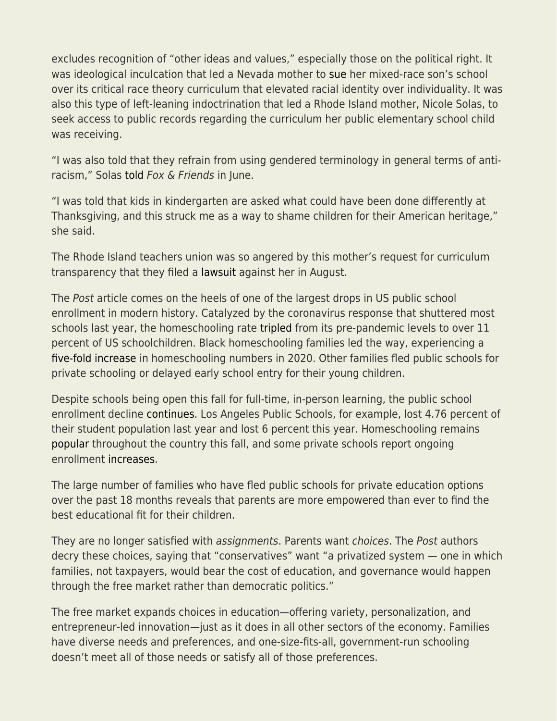excludes recognition of "other ideas and values," especially those on the political right. It was ideological inculcation that led a Nevada mother to [sue](https://www.reviewjournal.com/local/education/charter-school-awaits-critical-race-theory-lawsuit-ruling-2410479/) her mixed-race son's school over its critical race theory curriculum that elevated racial identity over individuality. It was also this type of left-leaning indoctrination that led a Rhode Island mother, Nicole Solas, to seek access to public records regarding the curriculum her public elementary school child was receiving.

"I was also told that they refrain from using gendered terminology in general terms of antiracism," Solas [told](https://www.foxnews.com/media/rhode-island-mother-lawsuit-critical-race-theory-requests) Fox & Friends in June.

"I was told that kids in kindergarten are asked what could have been done differently at Thanksgiving, and this struck me as a way to shame children for their American heritage," she said.

The Rhode Island teachers union was so angered by this mother's request for curriculum transparency that they filed a [lawsuit](https://www.foxnews.com/us/teachers-union-sues-rhode-island-mom-critical-race-theory) against her in August.

The Post article comes on the heels of one of the largest drops in US public school enrollment in modern history. Catalyzed by the coronavirus response that shuttered most schools last year, the homeschooling rate [tripled](https://fee.org/articles/us-census-homeschooling-triples-diversifies-during-pandemic-response/) from its pre-pandemic levels to over 11 percent of US schoolchildren. Black homeschooling families led the way, experiencing a [five-fold increase](https://www.census.gov/library/stories/2021/03/homeschooling-on-the-rise-during-covid-19-pandemic.html) in homeschooling numbers in 2020. Other families fled public schools for private schooling or delayed early school entry for their young children.

Despite schools being open this fall for full-time, in-person learning, the public school enrollment decline [continues.](https://fee.org/articles/cities-lead-the-way-in-another-massive-fall-exodus-from-us-public-schools/) Los Angeles Public Schools, for example, lost 4.76 percent of their student population last year and lost 6 percent this year. Homeschooling remains [popular](https://fee.org/articles/how-high-will-homeschooling-numbers-go/) throughout the country this fall, and some private schools report ongoing enrollment [increases](https://www.wbez.org/stories/cps-enrollment-nosedives-again/4f1293b1-f190-486f-ac47-dbaaaa8d88c1).

The large number of families who have fled public schools for private education options over the past 18 months reveals that parents are more empowered than ever to find the best educational fit for their children.

They are no longer satisfied with assignments. Parents want choices. The Post authors decry these choices, saying that "conservatives" want "a privatized system — one in which families, not taxpayers, would bear the cost of education, and governance would happen through the free market rather than democratic politics."

The free market expands choices in education—offering variety, personalization, and entrepreneur-led innovation—just as it does in all other sectors of the economy. Families have diverse needs and preferences, and one-size-fits-all, government-run schooling doesn't meet all of those needs or satisfy all of those preferences.